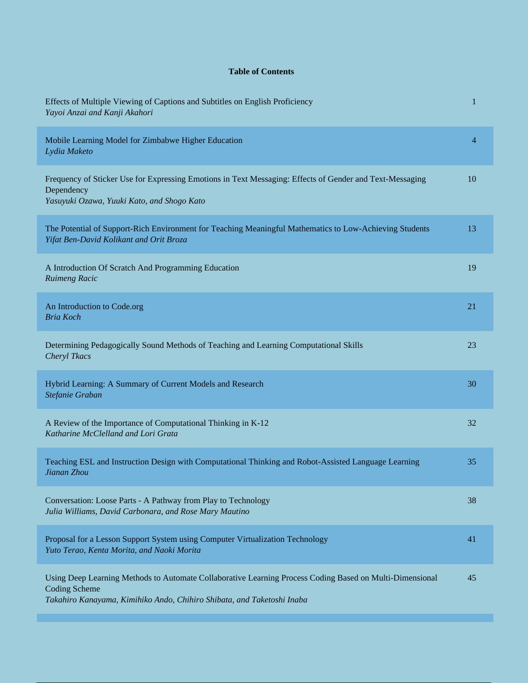## **Table of Contents**

| Effects of Multiple Viewing of Captions and Subtitles on English Proficiency<br>Yayoi Anzai and Kanji Akahori                                                                                              | 1  |
|------------------------------------------------------------------------------------------------------------------------------------------------------------------------------------------------------------|----|
| Mobile Learning Model for Zimbabwe Higher Education<br>Lydia Maketo                                                                                                                                        | 4  |
| Frequency of Sticker Use for Expressing Emotions in Text Messaging: Effects of Gender and Text-Messaging<br>Dependency<br>Yasuyuki Ozawa, Yuuki Kato, and Shogo Kato                                       | 10 |
| The Potential of Support-Rich Environment for Teaching Meaningful Mathematics to Low-Achieving Students<br>Yifat Ben-David Kolikant and Orit Broza                                                         | 13 |
| A Introduction Of Scratch And Programming Education<br>Ruimeng Racic                                                                                                                                       | 19 |
| An Introduction to Code.org<br><b>Bria Koch</b>                                                                                                                                                            | 21 |
| Determining Pedagogically Sound Methods of Teaching and Learning Computational Skills<br>Cheryl Tkacs                                                                                                      | 23 |
| Hybrid Learning: A Summary of Current Models and Research<br>Stefanie Graban                                                                                                                               | 30 |
| A Review of the Importance of Computational Thinking in K-12<br>Katharine McClelland and Lori Grata                                                                                                        | 32 |
| Teaching ESL and Instruction Design with Computational Thinking and Robot-Assisted Language Learning<br>Jianan Zhou                                                                                        | 35 |
| Conversation: Loose Parts - A Pathway from Play to Technology<br>Julia Williams, David Carbonara, and Rose Mary Mautino                                                                                    | 38 |
| Proposal for a Lesson Support System using Computer Virtualization Technology<br>Yuto Terao, Kenta Morita, and Naoki Morita                                                                                | 41 |
| Using Deep Learning Methods to Automate Collaborative Learning Process Coding Based on Multi-Dimensional<br><b>Coding Scheme</b><br>Takahiro Kanayama, Kimihiko Ando, Chihiro Shibata, and Taketoshi Inaba | 45 |